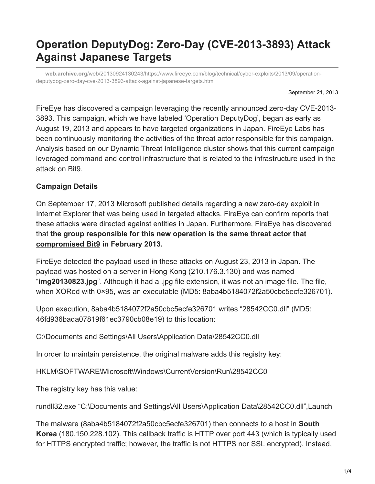# **Operation DeputyDog: Zero-Day (CVE-2013-3893) Attack Against Japanese Targets**

**web.archive.org**[/web/20130924130243/https://www.fireeye.com/blog/technical/cyber-exploits/2013/09/operation](https://web.archive.org/web/20130924130243/https://www.fireeye.com/blog/technical/cyber-exploits/2013/09/operation-deputydog-zero-day-cve-2013-3893-attack-against-japanese-targets.html)deputydog-zero-day-cve-2013-3893-attack-against-japanese-targets.html

September 21, 2013

FireEye has discovered a campaign leveraging the recently announced zero-day CVE-2013- 3893. This campaign, which we have labeled 'Operation DeputyDog', began as early as August 19, 2013 and appears to have targeted organizations in Japan. FireEye Labs has been continuously monitoring the activities of the threat actor responsible for this campaign. Analysis based on our Dynamic Threat Intelligence cluster shows that this current campaign leveraged command and control infrastructure that is related to the infrastructure used in the attack on Bit9.

### **Campaign Details**

On September 17, 2013 Microsoft published [details](https://web.archive.org/web/20130924130243/http://blogs.technet.com/b/srd/archive/2013/09/17/cve-2013-3893-fix-it-workaround-available.aspx) regarding a new zero-day exploit in Internet Explorer that was being used in [targeted attacks](https://web.archive.org/web/20130924130243/http://technet.microsoft.com/en-us/security/advisory/2887505). FireEye can confirm [reports](https://web.archive.org/web/20130924130243/https://community.qualys.com/blogs/laws-of-vulnerabilities/2013/09/17/september-2013--new-ie-0-day) that these attacks were directed against entities in Japan. Furthermore, FireEye has discovered that **the group responsible for this new operation is the same threat actor that [compromised Bit9](https://web.archive.org/web/20130924130243/https://blog.bit9.com/2013/02/25/bit9-security-incident-update/) in February 2013.**

FireEye detected the payload used in these attacks on August 23, 2013 in Japan. The payload was hosted on a server in Hong Kong (210.176.3.130) and was named "**img20130823.jpg**". Although it had a .jpg file extension, it was not an image file. The file, when XORed with 0×95, was an executable (MD5: 8aba4b5184072f2a50cbc5ecfe326701).

Upon execution, 8aba4b5184072f2a50cbc5ecfe326701 writes "28542CC0.dll" (MD5: 46fd936bada07819f61ec3790cb08e19) to this location:

C:\Documents and Settings\All Users\Application Data\28542CC0.dll

In order to maintain persistence, the original malware adds this registry key:

HKLM\SOFTWARE\Microsoft\Windows\CurrentVersion\Run\28542CC0

The registry key has this value:

rundll32.exe "C:\Documents and Settings\All Users\Application Data\28542CC0.dll",Launch

The malware (8aba4b5184072f2a50cbc5ecfe326701) then connects to a host in **South Korea** (180.150.228.102). This callback traffic is HTTP over port 443 (which is typically used for HTTPS encrypted traffic; however, the traffic is not HTTPS nor SSL encrypted). Instead,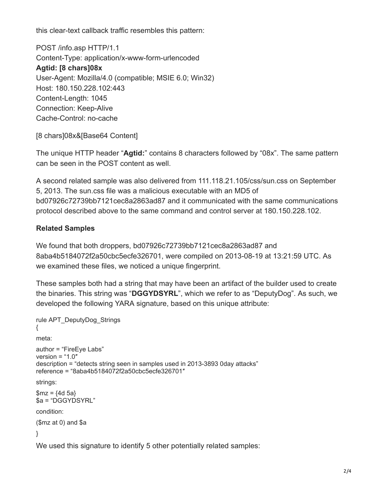this clear-text callback traffic resembles this pattern:

POST /info.asp HTTP/1.1 Content-Type: application/x-www-form-urlencoded **Agtid: [8 chars]08x** User-Agent: Mozilla/4.0 (compatible; MSIE 6.0; Win32) Host: 180.150.228.102:443 Content-Length: 1045 Connection: Keep-Alive Cache-Control: no-cache

[8 chars]08x&[Base64 Content]

The unique HTTP header "**Agtid:**" contains 8 characters followed by "08x". The same pattern can be seen in the POST content as well.

A second related sample was also delivered from 111.118.21.105/css/sun.css on September 5, 2013. The sun.css file was a malicious executable with an MD5 of bd07926c72739bb7121cec8a2863ad87 and it communicated with the same communications protocol described above to the same command and control server at 180.150.228.102.

## **Related Samples**

We found that both droppers, bd07926c72739bb7121cec8a2863ad87 and 8aba4b5184072f2a50cbc5ecfe326701, were compiled on 2013-08-19 at 13:21:59 UTC. As we examined these files, we noticed a unique fingerprint.

These samples both had a string that may have been an artifact of the builder used to create the binaries. This string was "**DGGYDSYRL**", which we refer to as "DeputyDog". As such, we developed the following YARA signature, based on this unique attribute:

```
rule APT_DeputyDog_Strings
{
meta:
author = "FireEye Labs"
version = "1.0"description = "detects string seen in samples used in 2013-3893 0day attacks"
reference = "8aba4b5184072f2a50cbc5ecfe326701″
strings:
$mz = {4d 5a}$a = "DGGYDSYRL"
condition:
($mz at 0) and $a
}
```
We used this signature to identify 5 other potentially related samples: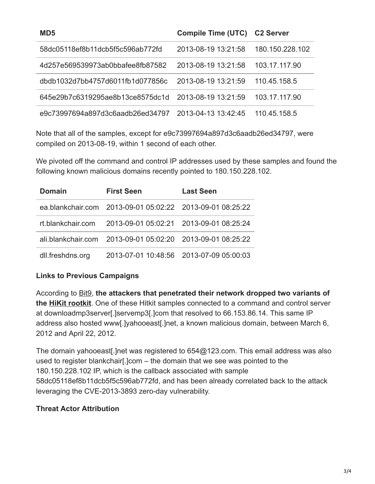| MD5                              | <b>Compile Time (UTC)</b> | <b>C2 Server</b> |
|----------------------------------|---------------------------|------------------|
| 58dc05118ef8b11dcb5f5c596ab772fd | 2013-08-19 13:21:58       | 180.150.228.102  |
| 4d257e569539973ab0bbafee8fb87582 | 2013-08-19 13:21:58       | 103.17.117.90    |
| dbdb1032d7bb4757d6011fb1d077856c | 2013-08-19 13:21:59       | 110.45.158.5     |
| 645e29b7c6319295ae8b13ce8575dc1d | 2013-08-19 13:21:59       | 103.17.117.90    |
| e9c73997694a897d3c6aadb26ed34797 | 2013-04-13 13:42:45       | 110.45.158.5     |

Note that all of the samples, except for e9c73997694a897d3c6aadb26ed34797, were compiled on 2013-08-19, within 1 second of each other.

We pivoted off the command and control IP addresses used by these samples and found the following known malicious domains recently pointed to 180.150.228.102.

| <b>Domain</b>    | <b>First Seen</b>                                          | <b>Last Seen</b>                        |
|------------------|------------------------------------------------------------|-----------------------------------------|
|                  | ea.blankchair.com 2013-09-01 05:02:22 2013-09-01 08:25:22  |                                         |
|                  | rt.blankchair.com 2013-09-01 05:02:21 2013-09-01 08:25:24  |                                         |
|                  | ali.blankchair.com 2013-09-01 05:02:20 2013-09-01 08:25:22 |                                         |
| dll.freshdns.org |                                                            | 2013-07-01 10:48:56 2013-07-09 05:00:03 |

#### **Links to Previous Campaigns**

According to [Bit9,](https://web.archive.org/web/20130924130243/https://blog.bit9.com/2013/02/25/bit9-security-incident-update/) **the attackers that penetrated their network dropped two variants of the [HiKit rootkit](https://web.archive.org/web/20130924130243/https://www.mandiant.com/blog/hikit-rootkit-advanced-persistent-attack-techniques-part-1-2/)**. One of these Hitkit samples connected to a command and control server at downloadmp3server[.]servemp3[.]com that resolved to 66.153.86.14. This same IP address also hosted www[.]yahooeast[.]net, a known malicious domain, between March 6, 2012 and April 22, 2012.

The domain yahooeast[.]net was registered to 654@123.com. This email address was also used to register blankchair[.]com – the domain that we see was pointed to the 180.150.228.102 IP, which is the callback associated with sample 58dc05118ef8b11dcb5f5c596ab772fd, and has been already correlated back to the attack leveraging the CVE-2013-3893 zero-day vulnerability.

#### **Threat Actor Attribution**